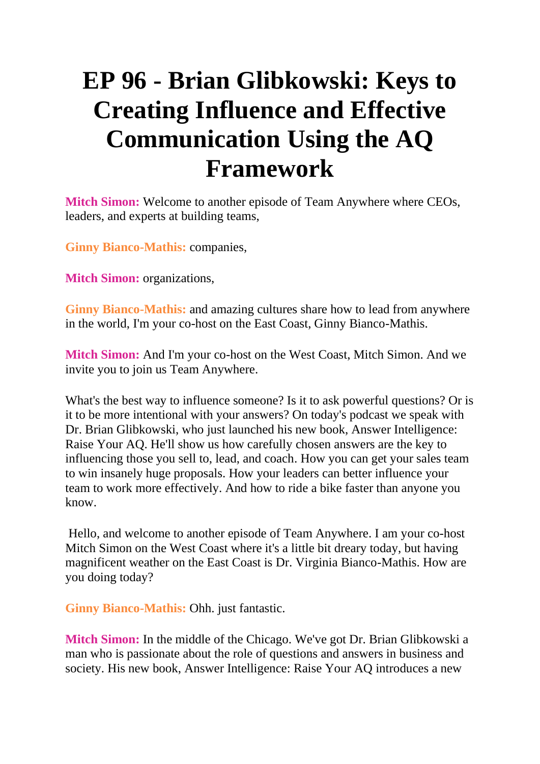## **EP 96 - Brian Glibkowski: Keys to Creating Influence and Effective Communication Using the AQ Framework**

**Mitch Simon:** Welcome to another episode of Team Anywhere where CEOs, leaders, and experts at building teams,

**Ginny Bianco-Mathis:** companies,

**Mitch Simon:** organizations,

**Ginny Bianco-Mathis:** and amazing cultures share how to lead from anywhere in the world, I'm your co-host on the East Coast, Ginny Bianco-Mathis.

**Mitch Simon:** And I'm your co-host on the West Coast, Mitch Simon. And we invite you to join us Team Anywhere.

What's the best way to influence someone? Is it to ask powerful questions? Or is it to be more intentional with your answers? On today's podcast we speak with Dr. Brian Glibkowski, who just launched his new book, Answer Intelligence: Raise Your AQ. He'll show us how carefully chosen answers are the key to influencing those you sell to, lead, and coach. How you can get your sales team to win insanely huge proposals. How your leaders can better influence your team to work more effectively. And how to ride a bike faster than anyone you know.

Hello, and welcome to another episode of Team Anywhere. I am your co-host Mitch Simon on the West Coast where it's a little bit dreary today, but having magnificent weather on the East Coast is Dr. Virginia Bianco-Mathis. How are you doing today?

**Ginny Bianco-Mathis:** Ohh. just fantastic.

**Mitch Simon:** In the middle of the Chicago. We've got Dr. Brian Glibkowski a man who is passionate about the role of questions and answers in business and society. His new book, Answer Intelligence: Raise Your AQ introduces a new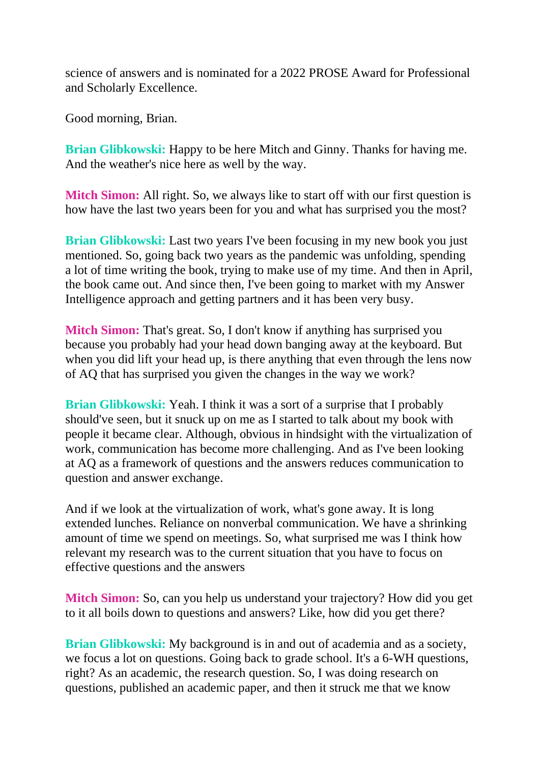science of answers and is nominated for a 2022 PROSE Award for Professional and Scholarly Excellence.

Good morning, Brian.

**Brian Glibkowski:** Happy to be here Mitch and Ginny. Thanks for having me. And the weather's nice here as well by the way.

**Mitch Simon:** All right. So, we always like to start off with our first question is how have the last two years been for you and what has surprised you the most?

**Brian Glibkowski:** Last two years I've been focusing in my new book you just mentioned. So, going back two years as the pandemic was unfolding, spending a lot of time writing the book, trying to make use of my time. And then in April, the book came out. And since then, I've been going to market with my Answer Intelligence approach and getting partners and it has been very busy.

**Mitch Simon:** That's great. So, I don't know if anything has surprised you because you probably had your head down banging away at the keyboard. But when you did lift your head up, is there anything that even through the lens now of AQ that has surprised you given the changes in the way we work?

**Brian Glibkowski:** Yeah. I think it was a sort of a surprise that I probably should've seen, but it snuck up on me as I started to talk about my book with people it became clear. Although, obvious in hindsight with the virtualization of work, communication has become more challenging. And as I've been looking at AQ as a framework of questions and the answers reduces communication to question and answer exchange.

And if we look at the virtualization of work, what's gone away. It is long extended lunches. Reliance on nonverbal communication. We have a shrinking amount of time we spend on meetings. So, what surprised me was I think how relevant my research was to the current situation that you have to focus on effective questions and the answers

**Mitch Simon:** So, can you help us understand your trajectory? How did you get to it all boils down to questions and answers? Like, how did you get there?

**Brian Glibkowski:** My background is in and out of academia and as a society, we focus a lot on questions. Going back to grade school. It's a 6-WH questions, right? As an academic, the research question. So, I was doing research on questions, published an academic paper, and then it struck me that we know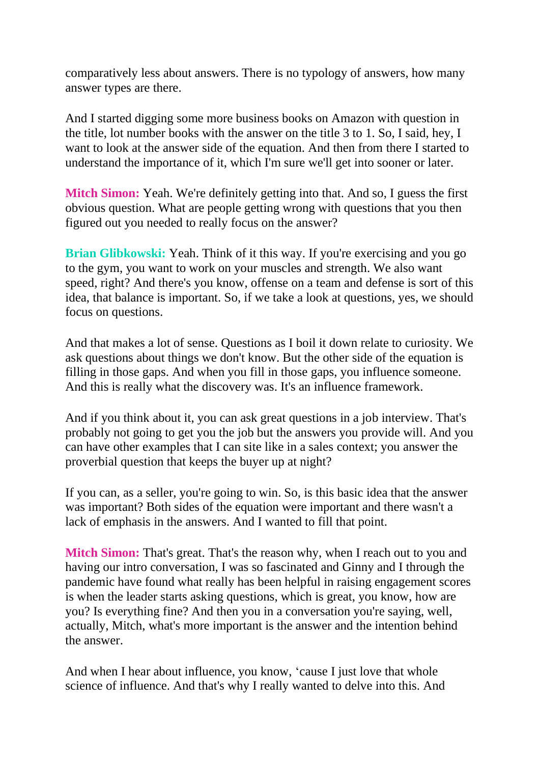comparatively less about answers. There is no typology of answers, how many answer types are there.

And I started digging some more business books on Amazon with question in the title, lot number books with the answer on the title 3 to 1. So, I said, hey, I want to look at the answer side of the equation. And then from there I started to understand the importance of it, which I'm sure we'll get into sooner or later.

**Mitch Simon:** Yeah. We're definitely getting into that. And so, I guess the first obvious question. What are people getting wrong with questions that you then figured out you needed to really focus on the answer?

**Brian Glibkowski:** Yeah. Think of it this way. If you're exercising and you go to the gym, you want to work on your muscles and strength. We also want speed, right? And there's you know, offense on a team and defense is sort of this idea, that balance is important. So, if we take a look at questions, yes, we should focus on questions.

And that makes a lot of sense. Questions as I boil it down relate to curiosity. We ask questions about things we don't know. But the other side of the equation is filling in those gaps. And when you fill in those gaps, you influence someone. And this is really what the discovery was. It's an influence framework.

And if you think about it, you can ask great questions in a job interview. That's probably not going to get you the job but the answers you provide will. And you can have other examples that I can site like in a sales context; you answer the proverbial question that keeps the buyer up at night?

If you can, as a seller, you're going to win. So, is this basic idea that the answer was important? Both sides of the equation were important and there wasn't a lack of emphasis in the answers. And I wanted to fill that point.

**Mitch Simon:** That's great. That's the reason why, when I reach out to you and having our intro conversation, I was so fascinated and Ginny and I through the pandemic have found what really has been helpful in raising engagement scores is when the leader starts asking questions, which is great, you know, how are you? Is everything fine? And then you in a conversation you're saying, well, actually, Mitch, what's more important is the answer and the intention behind the answer.

And when I hear about influence, you know, 'cause I just love that whole science of influence. And that's why I really wanted to delve into this. And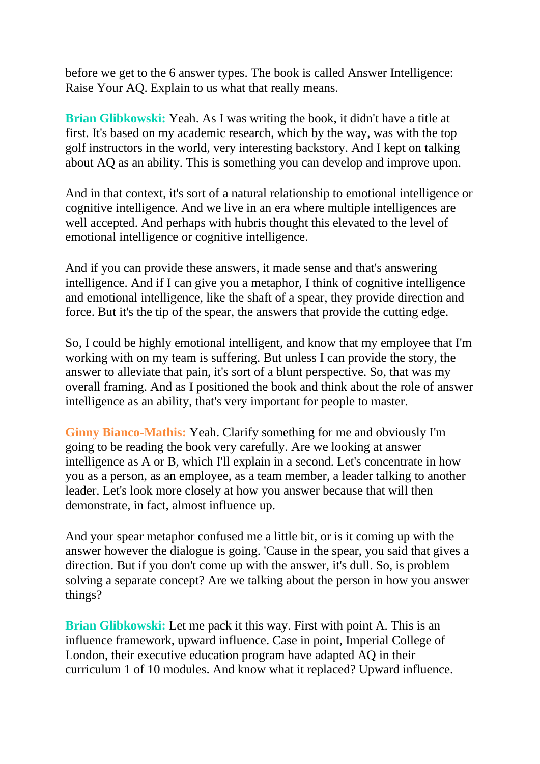before we get to the 6 answer types. The book is called Answer Intelligence: Raise Your AQ. Explain to us what that really means.

**Brian Glibkowski:** Yeah. As I was writing the book, it didn't have a title at first. It's based on my academic research, which by the way, was with the top golf instructors in the world, very interesting backstory. And I kept on talking about AQ as an ability. This is something you can develop and improve upon.

And in that context, it's sort of a natural relationship to emotional intelligence or cognitive intelligence. And we live in an era where multiple intelligences are well accepted. And perhaps with hubris thought this elevated to the level of emotional intelligence or cognitive intelligence.

And if you can provide these answers, it made sense and that's answering intelligence. And if I can give you a metaphor, I think of cognitive intelligence and emotional intelligence, like the shaft of a spear, they provide direction and force. But it's the tip of the spear, the answers that provide the cutting edge.

So, I could be highly emotional intelligent, and know that my employee that I'm working with on my team is suffering. But unless I can provide the story, the answer to alleviate that pain, it's sort of a blunt perspective. So, that was my overall framing. And as I positioned the book and think about the role of answer intelligence as an ability, that's very important for people to master.

**Ginny Bianco-Mathis:** Yeah. Clarify something for me and obviously I'm going to be reading the book very carefully. Are we looking at answer intelligence as A or B, which I'll explain in a second. Let's concentrate in how you as a person, as an employee, as a team member, a leader talking to another leader. Let's look more closely at how you answer because that will then demonstrate, in fact, almost influence up.

And your spear metaphor confused me a little bit, or is it coming up with the answer however the dialogue is going. 'Cause in the spear, you said that gives a direction. But if you don't come up with the answer, it's dull. So, is problem solving a separate concept? Are we talking about the person in how you answer things?

**Brian Glibkowski:** Let me pack it this way. First with point A. This is an influence framework, upward influence. Case in point, Imperial College of London, their executive education program have adapted AQ in their curriculum 1 of 10 modules. And know what it replaced? Upward influence.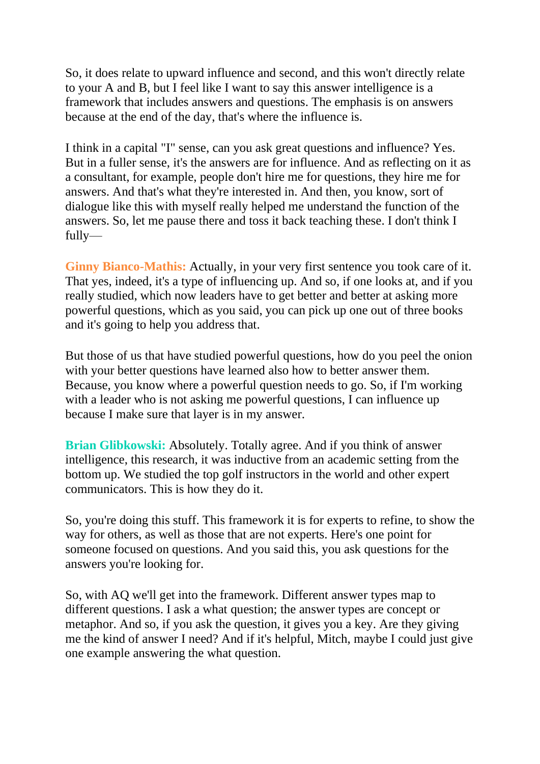So, it does relate to upward influence and second, and this won't directly relate to your A and B, but I feel like I want to say this answer intelligence is a framework that includes answers and questions. The emphasis is on answers because at the end of the day, that's where the influence is.

I think in a capital "I" sense, can you ask great questions and influence? Yes. But in a fuller sense, it's the answers are for influence. And as reflecting on it as a consultant, for example, people don't hire me for questions, they hire me for answers. And that's what they're interested in. And then, you know, sort of dialogue like this with myself really helped me understand the function of the answers. So, let me pause there and toss it back teaching these. I don't think I fully—

**Ginny Bianco-Mathis:** Actually, in your very first sentence you took care of it. That yes, indeed, it's a type of influencing up. And so, if one looks at, and if you really studied, which now leaders have to get better and better at asking more powerful questions, which as you said, you can pick up one out of three books and it's going to help you address that.

But those of us that have studied powerful questions, how do you peel the onion with your better questions have learned also how to better answer them. Because, you know where a powerful question needs to go. So, if I'm working with a leader who is not asking me powerful questions, I can influence up because I make sure that layer is in my answer.

**Brian Glibkowski:** Absolutely. Totally agree. And if you think of answer intelligence, this research, it was inductive from an academic setting from the bottom up. We studied the top golf instructors in the world and other expert communicators. This is how they do it.

So, you're doing this stuff. This framework it is for experts to refine, to show the way for others, as well as those that are not experts. Here's one point for someone focused on questions. And you said this, you ask questions for the answers you're looking for.

So, with AQ we'll get into the framework. Different answer types map to different questions. I ask a what question; the answer types are concept or metaphor. And so, if you ask the question, it gives you a key. Are they giving me the kind of answer I need? And if it's helpful, Mitch, maybe I could just give one example answering the what question.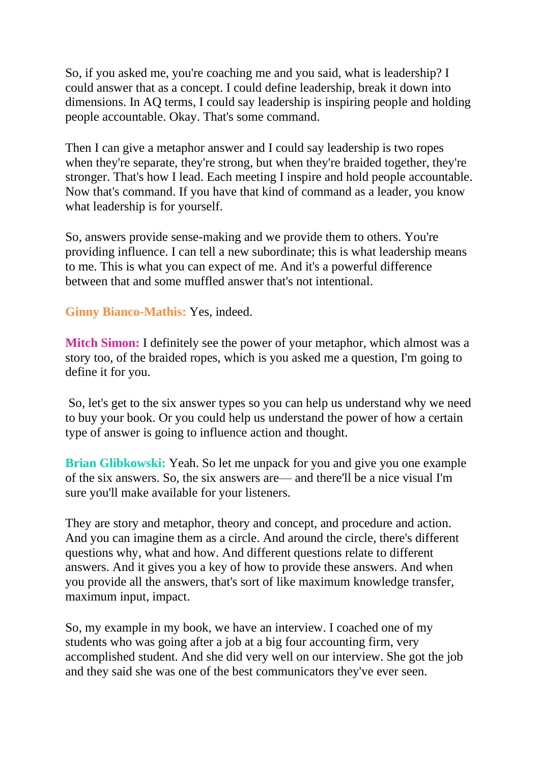So, if you asked me, you're coaching me and you said, what is leadership? I could answer that as a concept. I could define leadership, break it down into dimensions. In AQ terms, I could say leadership is inspiring people and holding people accountable. Okay. That's some command.

Then I can give a metaphor answer and I could say leadership is two ropes when they're separate, they're strong, but when they're braided together, they're stronger. That's how I lead. Each meeting I inspire and hold people accountable. Now that's command. If you have that kind of command as a leader, you know what leadership is for yourself.

So, answers provide sense-making and we provide them to others. You're providing influence. I can tell a new subordinate; this is what leadership means to me. This is what you can expect of me. And it's a powerful difference between that and some muffled answer that's not intentional.

**Ginny Bianco-Mathis:** Yes, indeed.

**Mitch Simon:** I definitely see the power of your metaphor, which almost was a story too, of the braided ropes, which is you asked me a question, I'm going to define it for you.

So, let's get to the six answer types so you can help us understand why we need to buy your book. Or you could help us understand the power of how a certain type of answer is going to influence action and thought.

**Brian Glibkowski:** Yeah. So let me unpack for you and give you one example of the six answers. So, the six answers are— and there'll be a nice visual I'm sure you'll make available for your listeners.

They are story and metaphor, theory and concept, and procedure and action. And you can imagine them as a circle. And around the circle, there's different questions why, what and how. And different questions relate to different answers. And it gives you a key of how to provide these answers. And when you provide all the answers, that's sort of like maximum knowledge transfer, maximum input, impact.

So, my example in my book, we have an interview. I coached one of my students who was going after a job at a big four accounting firm, very accomplished student. And she did very well on our interview. She got the job and they said she was one of the best communicators they've ever seen.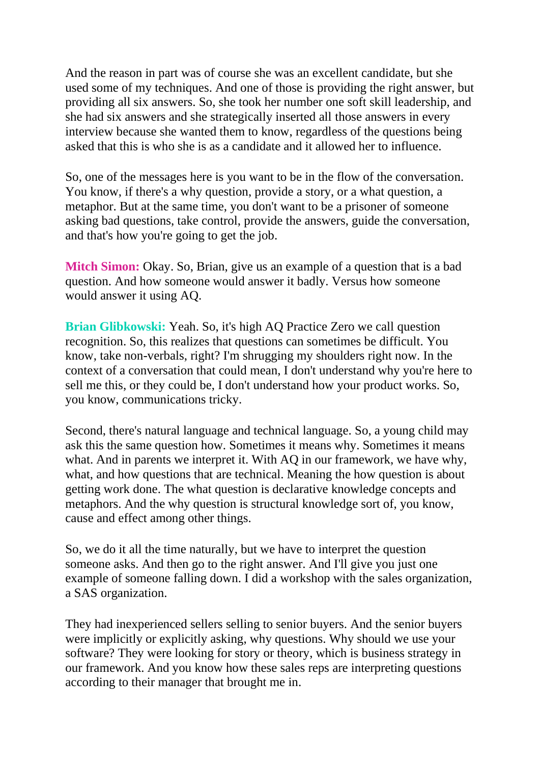And the reason in part was of course she was an excellent candidate, but she used some of my techniques. And one of those is providing the right answer, but providing all six answers. So, she took her number one soft skill leadership, and she had six answers and she strategically inserted all those answers in every interview because she wanted them to know, regardless of the questions being asked that this is who she is as a candidate and it allowed her to influence.

So, one of the messages here is you want to be in the flow of the conversation. You know, if there's a why question, provide a story, or a what question, a metaphor. But at the same time, you don't want to be a prisoner of someone asking bad questions, take control, provide the answers, guide the conversation, and that's how you're going to get the job.

**Mitch Simon:** Okay. So, Brian, give us an example of a question that is a bad question. And how someone would answer it badly. Versus how someone would answer it using AQ.

**Brian Glibkowski:** Yeah. So, it's high AQ Practice Zero we call question recognition. So, this realizes that questions can sometimes be difficult. You know, take non-verbals, right? I'm shrugging my shoulders right now. In the context of a conversation that could mean, I don't understand why you're here to sell me this, or they could be, I don't understand how your product works. So, you know, communications tricky.

Second, there's natural language and technical language. So, a young child may ask this the same question how. Sometimes it means why. Sometimes it means what. And in parents we interpret it. With AQ in our framework, we have why, what, and how questions that are technical. Meaning the how question is about getting work done. The what question is declarative knowledge concepts and metaphors. And the why question is structural knowledge sort of, you know, cause and effect among other things.

So, we do it all the time naturally, but we have to interpret the question someone asks. And then go to the right answer. And I'll give you just one example of someone falling down. I did a workshop with the sales organization, a SAS organization.

They had inexperienced sellers selling to senior buyers. And the senior buyers were implicitly or explicitly asking, why questions. Why should we use your software? They were looking for story or theory, which is business strategy in our framework. And you know how these sales reps are interpreting questions according to their manager that brought me in.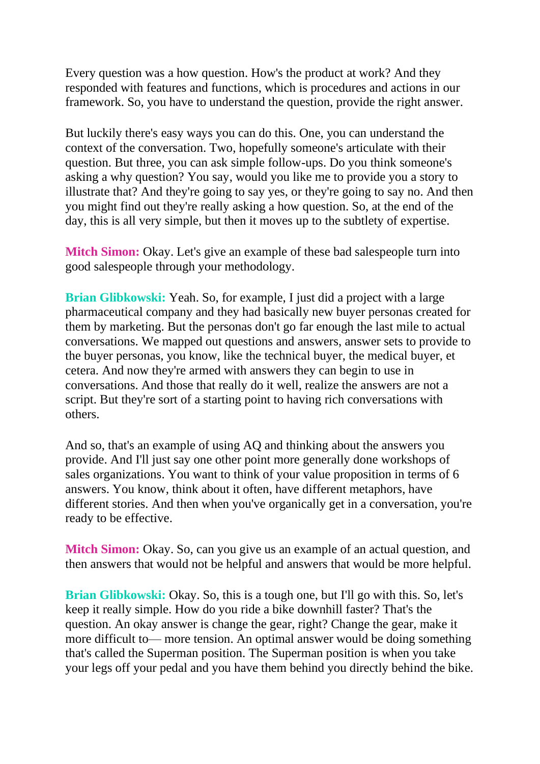Every question was a how question. How's the product at work? And they responded with features and functions, which is procedures and actions in our framework. So, you have to understand the question, provide the right answer.

But luckily there's easy ways you can do this. One, you can understand the context of the conversation. Two, hopefully someone's articulate with their question. But three, you can ask simple follow-ups. Do you think someone's asking a why question? You say, would you like me to provide you a story to illustrate that? And they're going to say yes, or they're going to say no. And then you might find out they're really asking a how question. So, at the end of the day, this is all very simple, but then it moves up to the subtlety of expertise.

**Mitch Simon:** Okay. Let's give an example of these bad salespeople turn into good salespeople through your methodology.

**Brian Glibkowski:** Yeah. So, for example, I just did a project with a large pharmaceutical company and they had basically new buyer personas created for them by marketing. But the personas don't go far enough the last mile to actual conversations. We mapped out questions and answers, answer sets to provide to the buyer personas, you know, like the technical buyer, the medical buyer, et cetera. And now they're armed with answers they can begin to use in conversations. And those that really do it well, realize the answers are not a script. But they're sort of a starting point to having rich conversations with others.

And so, that's an example of using AQ and thinking about the answers you provide. And I'll just say one other point more generally done workshops of sales organizations. You want to think of your value proposition in terms of 6 answers. You know, think about it often, have different metaphors, have different stories. And then when you've organically get in a conversation, you're ready to be effective.

**Mitch Simon:** Okay. So, can you give us an example of an actual question, and then answers that would not be helpful and answers that would be more helpful.

**Brian Glibkowski:** Okay. So, this is a tough one, but I'll go with this. So, let's keep it really simple. How do you ride a bike downhill faster? That's the question. An okay answer is change the gear, right? Change the gear, make it more difficult to— more tension. An optimal answer would be doing something that's called the Superman position. The Superman position is when you take your legs off your pedal and you have them behind you directly behind the bike.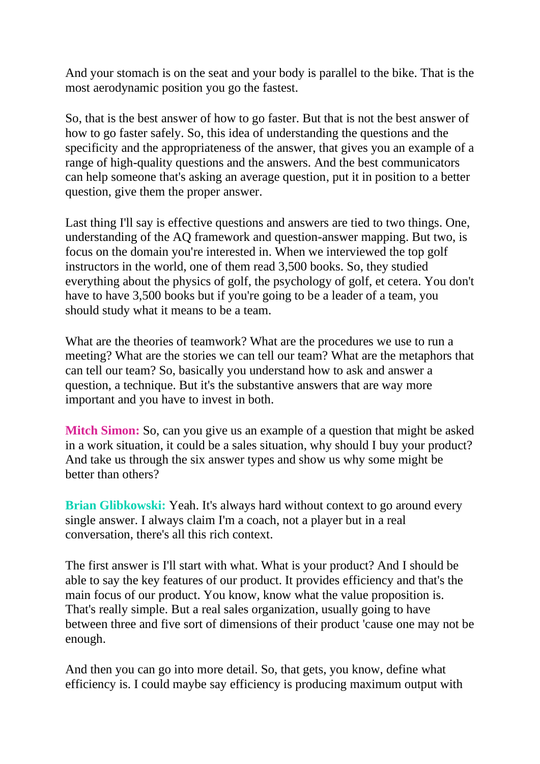And your stomach is on the seat and your body is parallel to the bike. That is the most aerodynamic position you go the fastest.

So, that is the best answer of how to go faster. But that is not the best answer of how to go faster safely. So, this idea of understanding the questions and the specificity and the appropriateness of the answer, that gives you an example of a range of high-quality questions and the answers. And the best communicators can help someone that's asking an average question, put it in position to a better question, give them the proper answer.

Last thing I'll say is effective questions and answers are tied to two things. One, understanding of the AQ framework and question-answer mapping. But two, is focus on the domain you're interested in. When we interviewed the top golf instructors in the world, one of them read 3,500 books. So, they studied everything about the physics of golf, the psychology of golf, et cetera. You don't have to have 3,500 books but if you're going to be a leader of a team, you should study what it means to be a team.

What are the theories of teamwork? What are the procedures we use to run a meeting? What are the stories we can tell our team? What are the metaphors that can tell our team? So, basically you understand how to ask and answer a question, a technique. But it's the substantive answers that are way more important and you have to invest in both.

**Mitch Simon:** So, can you give us an example of a question that might be asked in a work situation, it could be a sales situation, why should I buy your product? And take us through the six answer types and show us why some might be better than others?

**Brian Glibkowski:** Yeah. It's always hard without context to go around every single answer. I always claim I'm a coach, not a player but in a real conversation, there's all this rich context.

The first answer is I'll start with what. What is your product? And I should be able to say the key features of our product. It provides efficiency and that's the main focus of our product. You know, know what the value proposition is. That's really simple. But a real sales organization, usually going to have between three and five sort of dimensions of their product 'cause one may not be enough.

And then you can go into more detail. So, that gets, you know, define what efficiency is. I could maybe say efficiency is producing maximum output with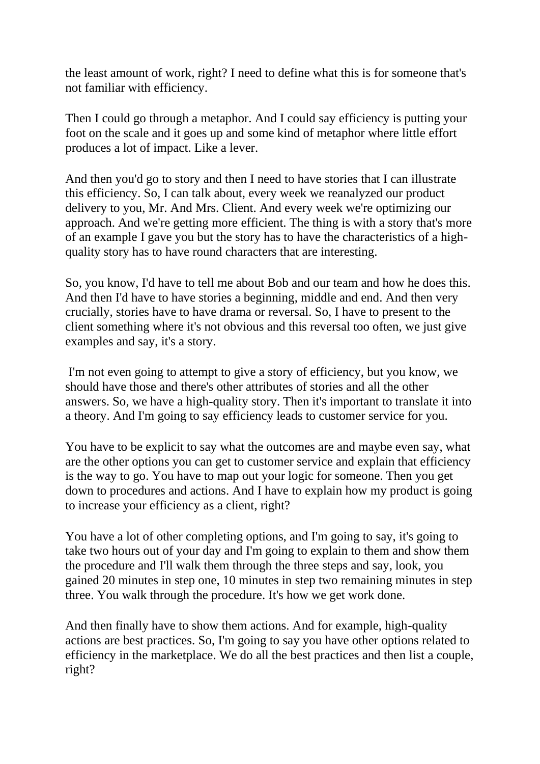the least amount of work, right? I need to define what this is for someone that's not familiar with efficiency.

Then I could go through a metaphor. And I could say efficiency is putting your foot on the scale and it goes up and some kind of metaphor where little effort produces a lot of impact. Like a lever.

And then you'd go to story and then I need to have stories that I can illustrate this efficiency. So, I can talk about, every week we reanalyzed our product delivery to you, Mr. And Mrs. Client. And every week we're optimizing our approach. And we're getting more efficient. The thing is with a story that's more of an example I gave you but the story has to have the characteristics of a highquality story has to have round characters that are interesting.

So, you know, I'd have to tell me about Bob and our team and how he does this. And then I'd have to have stories a beginning, middle and end. And then very crucially, stories have to have drama or reversal. So, I have to present to the client something where it's not obvious and this reversal too often, we just give examples and say, it's a story.

I'm not even going to attempt to give a story of efficiency, but you know, we should have those and there's other attributes of stories and all the other answers. So, we have a high-quality story. Then it's important to translate it into a theory. And I'm going to say efficiency leads to customer service for you.

You have to be explicit to say what the outcomes are and maybe even say, what are the other options you can get to customer service and explain that efficiency is the way to go. You have to map out your logic for someone. Then you get down to procedures and actions. And I have to explain how my product is going to increase your efficiency as a client, right?

You have a lot of other completing options, and I'm going to say, it's going to take two hours out of your day and I'm going to explain to them and show them the procedure and I'll walk them through the three steps and say, look, you gained 20 minutes in step one, 10 minutes in step two remaining minutes in step three. You walk through the procedure. It's how we get work done.

And then finally have to show them actions. And for example, high-quality actions are best practices. So, I'm going to say you have other options related to efficiency in the marketplace. We do all the best practices and then list a couple, right?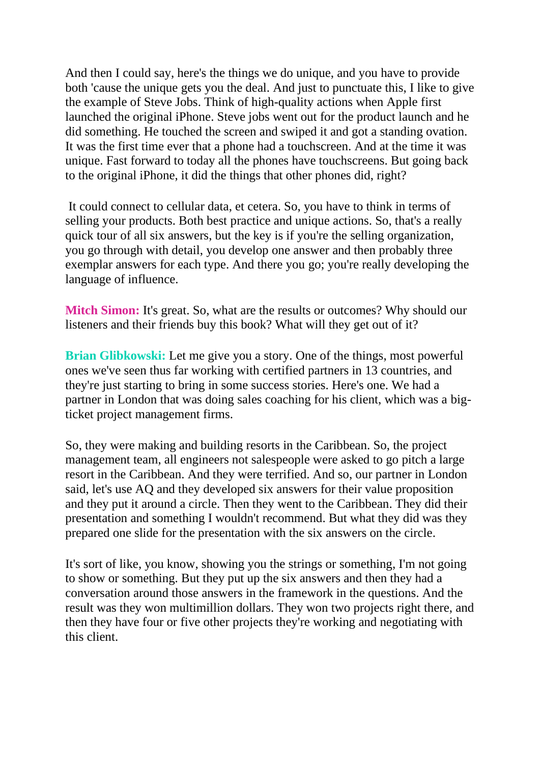And then I could say, here's the things we do unique, and you have to provide both 'cause the unique gets you the deal. And just to punctuate this, I like to give the example of Steve Jobs. Think of high-quality actions when Apple first launched the original iPhone. Steve jobs went out for the product launch and he did something. He touched the screen and swiped it and got a standing ovation. It was the first time ever that a phone had a touchscreen. And at the time it was unique. Fast forward to today all the phones have touchscreens. But going back to the original iPhone, it did the things that other phones did, right?

It could connect to cellular data, et cetera. So, you have to think in terms of selling your products. Both best practice and unique actions. So, that's a really quick tour of all six answers, but the key is if you're the selling organization, you go through with detail, you develop one answer and then probably three exemplar answers for each type. And there you go; you're really developing the language of influence.

**Mitch Simon:** It's great. So, what are the results or outcomes? Why should our listeners and their friends buy this book? What will they get out of it?

**Brian Glibkowski:** Let me give you a story. One of the things, most powerful ones we've seen thus far working with certified partners in 13 countries, and they're just starting to bring in some success stories. Here's one. We had a partner in London that was doing sales coaching for his client, which was a bigticket project management firms.

So, they were making and building resorts in the Caribbean. So, the project management team, all engineers not salespeople were asked to go pitch a large resort in the Caribbean. And they were terrified. And so, our partner in London said, let's use AQ and they developed six answers for their value proposition and they put it around a circle. Then they went to the Caribbean. They did their presentation and something I wouldn't recommend. But what they did was they prepared one slide for the presentation with the six answers on the circle.

It's sort of like, you know, showing you the strings or something, I'm not going to show or something. But they put up the six answers and then they had a conversation around those answers in the framework in the questions. And the result was they won multimillion dollars. They won two projects right there, and then they have four or five other projects they're working and negotiating with this client.